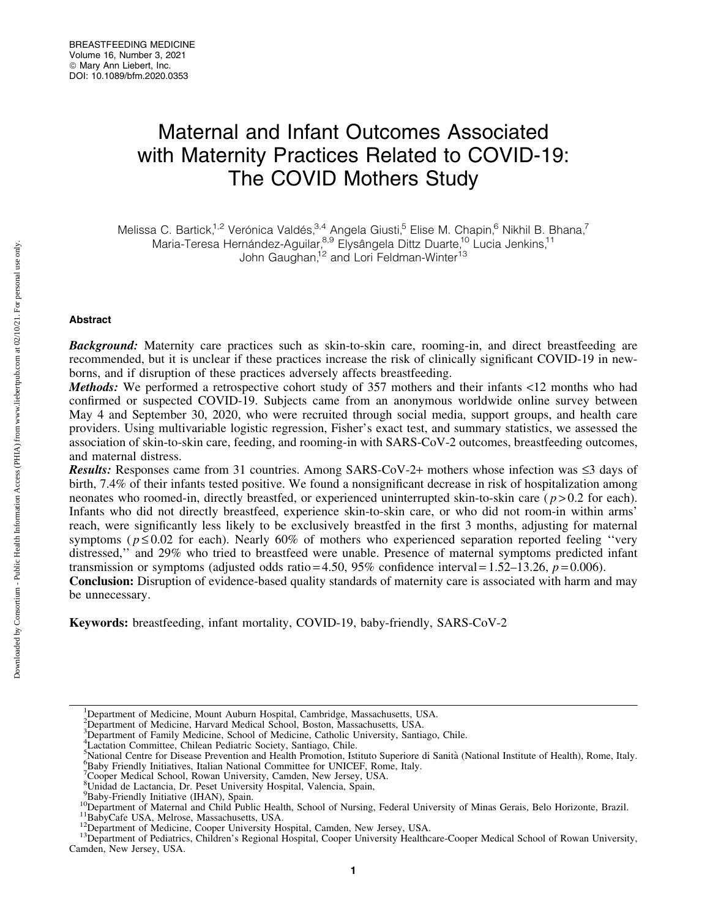# Maternal and Infant Outcomes Associated with Maternity Practices Related to COVID-19: The COVID Mothers Study

Melissa C. Bartick,<sup>1,2</sup> Verónica Valdés,<sup>3,4</sup> Angela Giusti,<sup>5</sup> Elise M. Chapin,<sup>6</sup> Nikhil B. Bhana,<sup>7</sup> Maria-Teresa Hernández-Aguilar,<sup>8,9</sup> Elysângela Dittz Duarte,<sup>10</sup> Lucia Jenkins,<sup>11</sup> John Gaughan,<sup>12</sup> and Lori Feldman-Winter<sup>13</sup>

# Abstract

Background: Maternity care practices such as skin-to-skin care, rooming-in, and direct breastfeeding are recommended, but it is unclear if these practices increase the risk of clinically significant COVID-19 in newborns, and if disruption of these practices adversely affects breastfeeding.

Methods: We performed a retrospective cohort study of 357 mothers and their infants <12 months who had confirmed or suspected COVID-19. Subjects came from an anonymous worldwide online survey between May 4 and September 30, 2020, who were recruited through social media, support groups, and health care providers. Using multivariable logistic regression, Fisher's exact test, and summary statistics, we assessed the association of skin-to-skin care, feeding, and rooming-in with SARS-CoV-2 outcomes, breastfeeding outcomes, and maternal distress.

**Results:** Responses came from 31 countries. Among SARS-CoV-2+ mothers whose infection was  $\leq$ 3 days of birth, 7.4% of their infants tested positive. We found a nonsignificant decrease in risk of hospitalization among neonates who roomed-in, directly breastfed, or experienced uninterrupted skin-to-skin care  $(p > 0.2$  for each). Infants who did not directly breastfeed, experience skin-to-skin care, or who did not room-in within arms' reach, were significantly less likely to be exclusively breastfed in the first 3 months, adjusting for maternal symptoms ( $p \le 0.02$  for each). Nearly 60% of mothers who experienced separation reported feeling "very" distressed,'' and 29% who tried to breastfeed were unable. Presence of maternal symptoms predicted infant transmission or symptoms (adjusted odds ratio = 4.50, 95% confidence interval =  $1.52-13.26$ ,  $p = 0.006$ ).

Conclusion: Disruption of evidence-based quality standards of maternity care is associated with harm and may be unnecessary.

Keywords: breastfeeding, infant mortality, COVID-19, baby-friendly, SARS-CoV-2

<sup>7</sup>Cooper Medical School, Rowan University, Camden, New Jersey, USA.

<sup>&</sup>lt;sup>1</sup>Department of Medicine, Mount Auburn Hospital, Cambridge, Massachusetts, USA.

<sup>&</sup>lt;sup>2</sup>Department of Medicine, Harvard Medical School, Boston, Massachusetts, USA.

<sup>&</sup>lt;sup>3</sup>Department of Family Medicine, School of Medicine, Catholic University, Santiago, Chile.

<sup>4</sup> Lactation Committee, Chilean Pediatric Society, Santiago, Chile.

<sup>&</sup>lt;sup>5</sup>National Centre for Disease Prevention and Health Promotion, Istituto Superiore di Sanità (National Institute of Health), Rome, Italy. <sup>6</sup>Reby Friendly Initiatives, Italian National Committee for UNICEE, Rome, Italy. <sup>6</sup>Baby Friendly Initiatives, Italian National Committee for UNICEF, Rome, Italy.

<sup>8</sup> Unidad de Lactancia, Dr. Peset University Hospital, Valencia, Spain,

<sup>&</sup>lt;sup>9</sup>Baby-Friendly Initiative (IHAN), Spain.

<sup>&</sup>lt;sup>10</sup>Department of Maternal and Child Public Health, School of Nursing, Federal University of Minas Gerais, Belo Horizonte, Brazil.<br><sup>11</sup>BabyCafe USA, Melrose, Massachusetts, USA.<br><sup>12</sup>Department of Medicine, Cooper Universit

Camden, New Jersey, USA.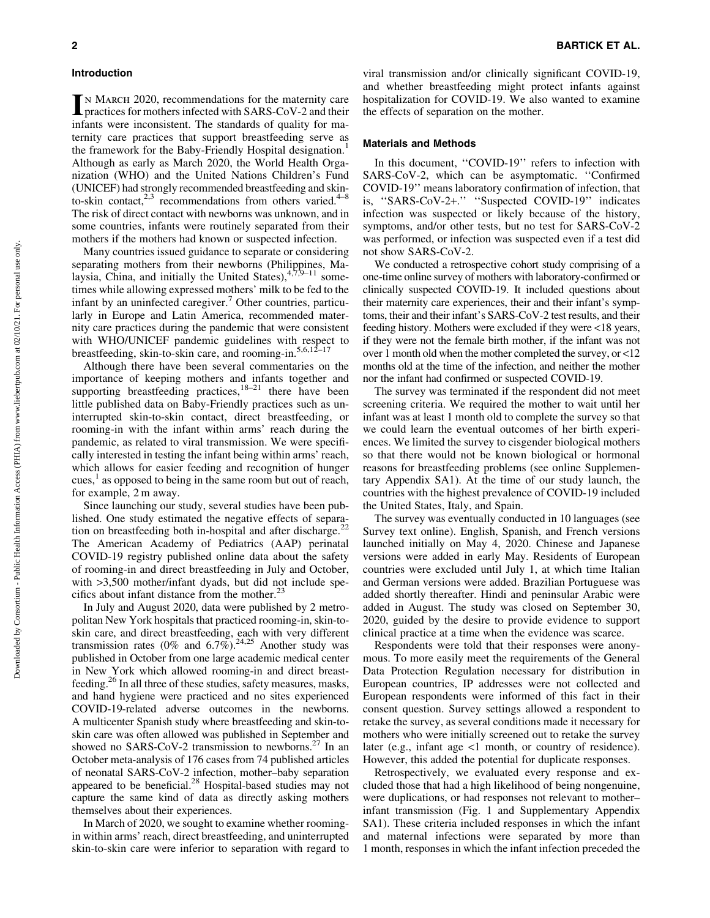IN MARCH 2020, recommendations for the maternity care<br>practices for mothers infected with SARS-CoV-2 and their infants were inconsistent. The standards of quality for maternity care practices that support breastfeeding serve as the framework for the Baby-Friendly Hospital designation.<sup>1</sup> Although as early as March 2020, the World Health Organization (WHO) and the United Nations Children's Fund (UNICEF) had strongly recommended breastfeeding and skinto-skin contact, $2,3$  recommendations from others varied.<sup>4–8</sup> The risk of direct contact with newborns was unknown, and in some countries, infants were routinely separated from their mothers if the mothers had known or suspected infection.

Many countries issued guidance to separate or considering separating mothers from their newborns (Philippines, Malaysia, China, and initially the United States),  $47,9-11$  sometimes while allowing expressed mothers' milk to be fed to the infant by an uninfected caregiver.<sup>7</sup> Other countries, particularly in Europe and Latin America, recommended maternity care practices during the pandemic that were consistent with WHO/UNICEF pandemic guidelines with respect to breastfeeding, skin-to-skin care, and rooming-in.<sup>5,6,12–17</sup>

Although there have been several commentaries on the importance of keeping mothers and infants together and supporting breastfeeding practices, $18-21$  there have been little published data on Baby-Friendly practices such as uninterrupted skin-to-skin contact, direct breastfeeding, or rooming-in with the infant within arms' reach during the pandemic, as related to viral transmission. We were specifically interested in testing the infant being within arms' reach, which allows for easier feeding and recognition of hunger cues, $\frac{1}{x}$  as opposed to being in the same room but out of reach, for example, 2 m away.

Since launching our study, several studies have been published. One study estimated the negative effects of separation on breastfeeding both in-hospital and after discharge.<sup>22</sup> The American Academy of Pediatrics (AAP) perinatal COVID-19 registry published online data about the safety of rooming-in and direct breastfeeding in July and October, with  $>3,500$  mother/infant dyads, but did not include specifics about infant distance from the mother. $^{23}$ 

In July and August 2020, data were published by 2 metropolitan New York hospitals that practiced rooming-in, skin-toskin care, and direct breastfeeding, each with very different transmission rates (0% and  $6.7\%$ ).<sup>24,25</sup> Another study was published in October from one large academic medical center in New York which allowed rooming-in and direct breastfeeding.26 In all three of these studies, safety measures, masks, and hand hygiene were practiced and no sites experienced COVID-19-related adverse outcomes in the newborns. A multicenter Spanish study where breastfeeding and skin-toskin care was often allowed was published in September and showed no SARS-CoV-2 transmission to newborns.<sup>27</sup> In an October meta-analysis of 176 cases from 74 published articles of neonatal SARS-CoV-2 infection, mother–baby separation appeared to be beneficial.<sup>28</sup> Hospital-based studies may not capture the same kind of data as directly asking mothers themselves about their experiences.

In March of 2020, we sought to examine whether roomingin within arms' reach, direct breastfeeding, and uninterrupted skin-to-skin care were inferior to separation with regard to viral transmission and/or clinically significant COVID-19, and whether breastfeeding might protect infants against hospitalization for COVID-19. We also wanted to examine the effects of separation on the mother.

#### Materials and Methods

In this document, ''COVID-19'' refers to infection with SARS-CoV-2, which can be asymptomatic. ''Confirmed COVID-19'' means laboratory confirmation of infection, that is, ''SARS-CoV-2+.'' ''Suspected COVID-19'' indicates infection was suspected or likely because of the history, symptoms, and/or other tests, but no test for SARS-CoV-2 was performed, or infection was suspected even if a test did not show SARS-CoV-2.

We conducted a retrospective cohort study comprising of a one-time online survey of mothers with laboratory-confirmed or clinically suspected COVID-19. It included questions about their maternity care experiences, their and their infant's symptoms, their and their infant's SARS-CoV-2 test results, and their feeding history. Mothers were excluded if they were <18 years, if they were not the female birth mother, if the infant was not over 1 month old when the mother completed the survey, or <12 months old at the time of the infection, and neither the mother nor the infant had confirmed or suspected COVID-19.

The survey was terminated if the respondent did not meet screening criteria. We required the mother to wait until her infant was at least 1 month old to complete the survey so that we could learn the eventual outcomes of her birth experiences. We limited the survey to cisgender biological mothers so that there would not be known biological or hormonal reasons for breastfeeding problems (see online Supplementary Appendix SA1). At the time of our study launch, the countries with the highest prevalence of COVID-19 included the United States, Italy, and Spain.

The survey was eventually conducted in 10 languages (see Survey text online). English, Spanish, and French versions launched initially on May 4, 2020. Chinese and Japanese versions were added in early May. Residents of European countries were excluded until July 1, at which time Italian and German versions were added. Brazilian Portuguese was added shortly thereafter. Hindi and peninsular Arabic were added in August. The study was closed on September 30, 2020, guided by the desire to provide evidence to support clinical practice at a time when the evidence was scarce.

Respondents were told that their responses were anonymous. To more easily meet the requirements of the General Data Protection Regulation necessary for distribution in European countries, IP addresses were not collected and European respondents were informed of this fact in their consent question. Survey settings allowed a respondent to retake the survey, as several conditions made it necessary for mothers who were initially screened out to retake the survey later (e.g., infant age <1 month, or country of residence). However, this added the potential for duplicate responses.

Retrospectively, we evaluated every response and excluded those that had a high likelihood of being nongenuine, were duplications, or had responses not relevant to mother– infant transmission (Fig. 1 and Supplementary Appendix SA1). These criteria included responses in which the infant and maternal infections were separated by more than 1 month, responses in which the infant infection preceded the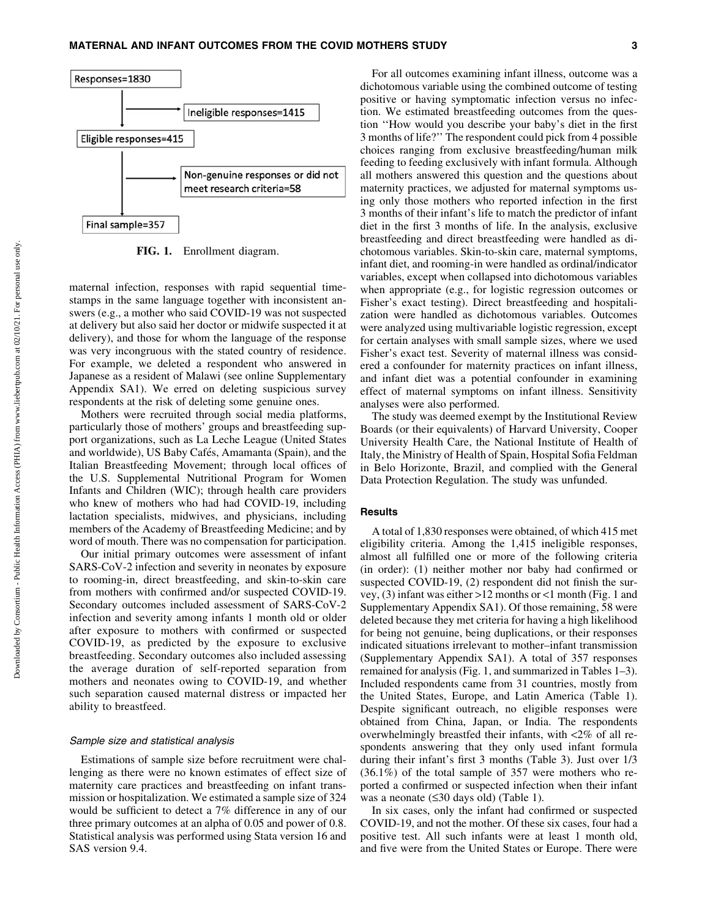

FIG. 1. Enrollment diagram.

maternal infection, responses with rapid sequential timestamps in the same language together with inconsistent answers (e.g., a mother who said COVID-19 was not suspected at delivery but also said her doctor or midwife suspected it at delivery), and those for whom the language of the response was very incongruous with the stated country of residence. For example, we deleted a respondent who answered in Japanese as a resident of Malawi (see online Supplementary Appendix SA1). We erred on deleting suspicious survey respondents at the risk of deleting some genuine ones.

Mothers were recruited through social media platforms, particularly those of mothers' groups and breastfeeding support organizations, such as La Leche League (United States and worldwide), US Baby Cafés, Amamanta (Spain), and the Italian Breastfeeding Movement; through local offices of the U.S. Supplemental Nutritional Program for Women Infants and Children (WIC); through health care providers who knew of mothers who had had COVID-19, including lactation specialists, midwives, and physicians, including members of the Academy of Breastfeeding Medicine; and by word of mouth. There was no compensation for participation.

Our initial primary outcomes were assessment of infant SARS-CoV-2 infection and severity in neonates by exposure to rooming-in, direct breastfeeding, and skin-to-skin care from mothers with confirmed and/or suspected COVID-19. Secondary outcomes included assessment of SARS-CoV-2 infection and severity among infants 1 month old or older after exposure to mothers with confirmed or suspected COVID-19, as predicted by the exposure to exclusive breastfeeding. Secondary outcomes also included assessing the average duration of self-reported separation from mothers and neonates owing to COVID-19, and whether such separation caused maternal distress or impacted her ability to breastfeed.

## Sample size and statistical analysis

Estimations of sample size before recruitment were challenging as there were no known estimates of effect size of maternity care practices and breastfeeding on infant transmission or hospitalization. We estimated a sample size of 324 would be sufficient to detect a 7% difference in any of our three primary outcomes at an alpha of 0.05 and power of 0.8. Statistical analysis was performed using Stata version 16 and SAS version 9.4.

For all outcomes examining infant illness, outcome was a dichotomous variable using the combined outcome of testing positive or having symptomatic infection versus no infection. We estimated breastfeeding outcomes from the question ''How would you describe your baby's diet in the first 3 months of life?'' The respondent could pick from 4 possible choices ranging from exclusive breastfeeding/human milk feeding to feeding exclusively with infant formula. Although all mothers answered this question and the questions about maternity practices, we adjusted for maternal symptoms using only those mothers who reported infection in the first 3 months of their infant's life to match the predictor of infant diet in the first 3 months of life. In the analysis, exclusive breastfeeding and direct breastfeeding were handled as dichotomous variables. Skin-to-skin care, maternal symptoms, infant diet, and rooming-in were handled as ordinal/indicator variables, except when collapsed into dichotomous variables when appropriate (e.g., for logistic regression outcomes or Fisher's exact testing). Direct breastfeeding and hospitalization were handled as dichotomous variables. Outcomes were analyzed using multivariable logistic regression, except for certain analyses with small sample sizes, where we used Fisher's exact test. Severity of maternal illness was considered a confounder for maternity practices on infant illness, and infant diet was a potential confounder in examining effect of maternal symptoms on infant illness. Sensitivity analyses were also performed.

The study was deemed exempt by the Institutional Review Boards (or their equivalents) of Harvard University, Cooper University Health Care, the National Institute of Health of Italy, the Ministry of Health of Spain, Hospital Sofia Feldman in Belo Horizonte, Brazil, and complied with the General Data Protection Regulation. The study was unfunded.

## **Results**

A total of 1,830 responses were obtained, of which 415 met eligibility criteria. Among the 1,415 ineligible responses, almost all fulfilled one or more of the following criteria (in order): (1) neither mother nor baby had confirmed or suspected COVID-19, (2) respondent did not finish the survey, (3) infant was either >12 months or <1 month (Fig. 1 and Supplementary Appendix SA1). Of those remaining, 58 were deleted because they met criteria for having a high likelihood for being not genuine, being duplications, or their responses indicated situations irrelevant to mother–infant transmission (Supplementary Appendix SA1). A total of 357 responses remained for analysis (Fig. 1, and summarized in Tables 1–3). Included respondents came from 31 countries, mostly from the United States, Europe, and Latin America (Table 1). Despite significant outreach, no eligible responses were obtained from China, Japan, or India. The respondents overwhelmingly breastfed their infants, with <2% of all respondents answering that they only used infant formula during their infant's first 3 months (Table 3). Just over 1/3 (36.1%) of the total sample of 357 were mothers who reported a confirmed or suspected infection when their infant was a neonate  $(\leq 30 \text{ days old})$  (Table 1).

In six cases, only the infant had confirmed or suspected COVID-19, and not the mother. Of these six cases, four had a positive test. All such infants were at least 1 month old, and five were from the United States or Europe. There were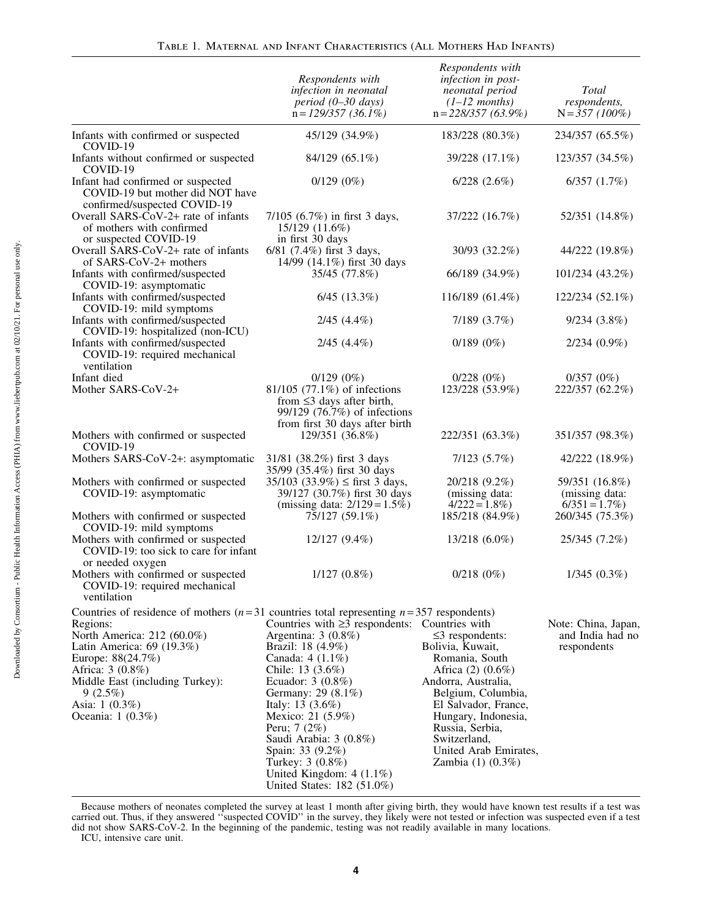|                                                                                                                                                                                                                                                                                                       | Respondents with<br>infection in neonatal<br>$period (0-30 days)$<br>$n = 129/357$ (36.1%)                                                                                                                                                                                                                                                       | Respondents with<br>infection in post-<br>neonatal period<br>$(1-12$ months)<br>$n = 228/357(63.9\%)$                                                                                                                                                         | Total<br>respondents,<br>$N = 357 (100\%)$             |
|-------------------------------------------------------------------------------------------------------------------------------------------------------------------------------------------------------------------------------------------------------------------------------------------------------|--------------------------------------------------------------------------------------------------------------------------------------------------------------------------------------------------------------------------------------------------------------------------------------------------------------------------------------------------|---------------------------------------------------------------------------------------------------------------------------------------------------------------------------------------------------------------------------------------------------------------|--------------------------------------------------------|
| Infants with confirmed or suspected<br>COVID-19                                                                                                                                                                                                                                                       | 45/129 (34.9%)                                                                                                                                                                                                                                                                                                                                   | 183/228 (80.3%)                                                                                                                                                                                                                                               | 234/357 (65.5%)                                        |
| Infants without confirmed or suspected<br>COVID-19                                                                                                                                                                                                                                                    | 84/129 (65.1%)                                                                                                                                                                                                                                                                                                                                   | 39/228 (17.1%)                                                                                                                                                                                                                                                | 123/357 (34.5%)                                        |
| Infant had confirmed or suspected<br>COVID-19 but mother did NOT have<br>confirmed/suspected COVID-19                                                                                                                                                                                                 | $0/129(0\%)$                                                                                                                                                                                                                                                                                                                                     | $6/228$ $(2.6\%)$                                                                                                                                                                                                                                             | 6/357(1.7%)                                            |
| Overall SARS- $CoV-2+$ rate of infants<br>of mothers with confirmed<br>or suspected COVID-19                                                                                                                                                                                                          | $7/105$ (6.7%) in first 3 days,<br>15/129 (11.6%)<br>in first 30 days                                                                                                                                                                                                                                                                            | 37/222 (16.7%)                                                                                                                                                                                                                                                | 52/351 (14.8%)                                         |
| Overall SARS-CoV-2+ rate of infants<br>of SARS-CoV-2+ mothers                                                                                                                                                                                                                                         | 6/81 (7.4%) first 3 days,<br>14/99 (14.1%) first 30 days                                                                                                                                                                                                                                                                                         | 30/93 (32.2%)                                                                                                                                                                                                                                                 | 44/222 (19.8%)                                         |
| Infants with confirmed/suspected<br>COVID-19: asymptomatic                                                                                                                                                                                                                                            | 35/45 (77.8%)                                                                                                                                                                                                                                                                                                                                    | 66/189 (34.9%)                                                                                                                                                                                                                                                | 101/234 (43.2%)                                        |
| Infants with confirmed/suspected<br>COVID-19: mild symptoms                                                                                                                                                                                                                                           | $6/45$ $(13.3\%)$                                                                                                                                                                                                                                                                                                                                | 116/189 (61.4%)                                                                                                                                                                                                                                               | 122/234 (52.1%)                                        |
| Infants with confirmed/suspected<br>COVID-19: hospitalized (non-ICU)                                                                                                                                                                                                                                  | $2/45$ $(4.4\%)$                                                                                                                                                                                                                                                                                                                                 | 7/189(3.7%)                                                                                                                                                                                                                                                   | 9/234(3.8%)                                            |
| Infants with confirmed/suspected<br>COVID-19: required mechanical<br>ventilation                                                                                                                                                                                                                      | $2/45$ $(4.4\%)$                                                                                                                                                                                                                                                                                                                                 | $0/189(0\%)$                                                                                                                                                                                                                                                  | $2/234(0.9\%)$                                         |
| Infant died<br>Mother SARS-CoV-2+                                                                                                                                                                                                                                                                     | $0/129(0\%)$<br>81/105 (77.1%) of infections<br>from $\leq$ 3 days after birth,<br>99/129 (76.7%) of infections                                                                                                                                                                                                                                  | 0/228(0%)<br>123/228 (53.9%)                                                                                                                                                                                                                                  | $0/357(0\%)$<br>222/357 (62.2%)                        |
| Mothers with confirmed or suspected                                                                                                                                                                                                                                                                   | from first 30 days after birth<br>129/351 (36.8%)                                                                                                                                                                                                                                                                                                | 222/351 (63.3%)                                                                                                                                                                                                                                               | 351/357 (98.3%)                                        |
| COVID-19<br>Mothers SARS-CoV-2+: asymptomatic                                                                                                                                                                                                                                                         | 31/81 (38.2%) first 3 days<br>35/99 (35.4%) first 30 days                                                                                                                                                                                                                                                                                        | 7/123(5.7%)                                                                                                                                                                                                                                                   | 42/222 (18.9%)                                         |
| Mothers with confirmed or suspected<br>COVID-19: asymptomatic                                                                                                                                                                                                                                         | $35/103$ $(33.9\%) \leq$ first 3 days,<br>39/127 (30.7%) first 30 days<br>(missing data: $2/129 = 1.5\%$ )                                                                                                                                                                                                                                       | 20/218 (9.2%)<br>(missing data:<br>$4/222 = 1.8\%)$                                                                                                                                                                                                           | 59/351 (16.8%)<br>(missing data:<br>$6/351 = 1.7\%)$   |
| Mothers with confirmed or suspected<br>COVID-19: mild symptoms                                                                                                                                                                                                                                        | 75/127 (59.1%)                                                                                                                                                                                                                                                                                                                                   | 185/218 (84.9%)                                                                                                                                                                                                                                               | 260/345 (75.3%)                                        |
| Mothers with confirmed or suspected<br>COVID-19: too sick to care for infant                                                                                                                                                                                                                          | 12/127 (9.4%)                                                                                                                                                                                                                                                                                                                                    | 13/218 (6.0%)                                                                                                                                                                                                                                                 | 25/345 (7.2%)                                          |
| or needed oxygen<br>Mothers with confirmed or suspected<br>COVID-19: required mechanical<br>ventilation                                                                                                                                                                                               | $1/127(0.8\%)$                                                                                                                                                                                                                                                                                                                                   | 0/218(0%)                                                                                                                                                                                                                                                     | $1/345(0.3\%)$                                         |
| Countries of residence of mothers ( $n=31$ countries total representing $n=357$ respondents)<br>Regions:<br>North America: 212 (60.0%)<br>Latin America: $69$ (19.3%)<br>Europe: 88(24.7%)<br>Africa: 3 (0.8%)<br>Middle East (including Turkey):<br>9(2.5%)<br>Asia: $1(0.3\%)$<br>Oceania: 1 (0.3%) | Countries with $\geq$ 3 respondents: Countries with<br>Argentina: $3(0.8\%)$<br>Brazil: 18 (4.9%)<br>Canada: 4 (1.1%)<br>Chile: 13 (3.6%)<br>Ecuador: $3(0.8\%)$<br>Germany: 29 (8.1%)<br>Italy: $13(3.6%)$<br>Mexico: 21 (5.9%)<br>Peru; 7 (2%)<br>Saudi Arabia: 3 (0.8%)<br>Spain: 33 (9.2%)<br>Turkey: 3 (0.8%)<br>United Kingdom: $4(1.1\%)$ | $\leq$ 3 respondents:<br>Bolivia, Kuwait,<br>Romania, South<br>Africa (2) (0.6%)<br>Andorra, Australia,<br>Belgium, Columbia,<br>El Salvador, France,<br>Hungary, Indonesia,<br>Russia, Serbia,<br>Switzerland,<br>United Arab Emirates,<br>Zambia (1) (0.3%) | Note: China, Japan,<br>and India had no<br>respondents |

Because mothers of neonates completed the survey at least 1 month after giving birth, they would have known test results if a test was carried out. Thus, if they answered ''suspected COVID'' in the survey, they likely were not tested or infection was suspected even if a test did not show SARS-CoV-2. In the beginning of the pandemic, testing was not readily available in many locations.

United States: 182 (51.0%)

ICU, intensive care unit.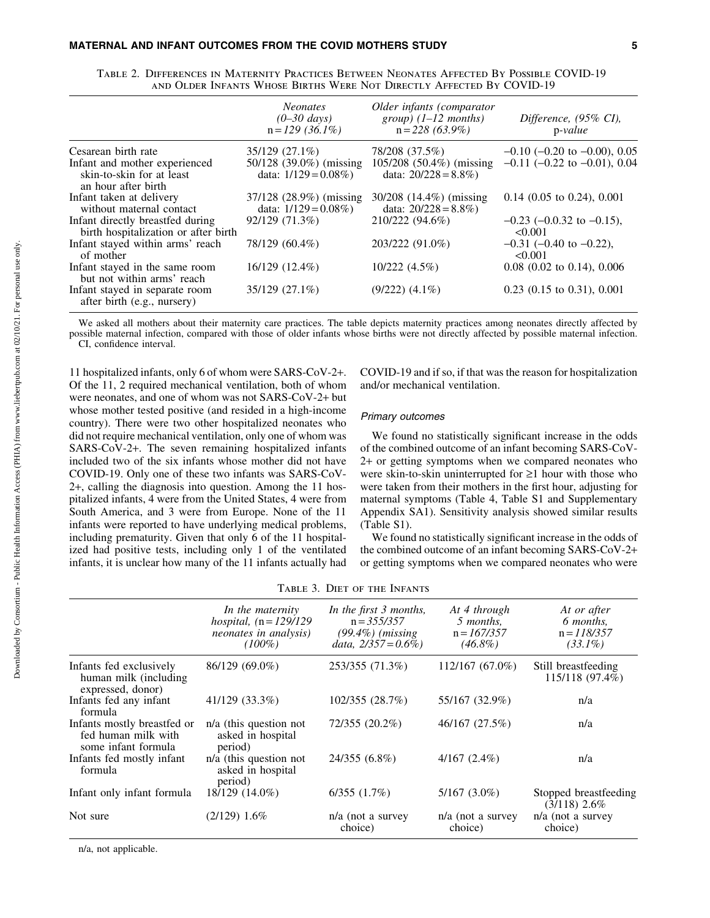|                                                                                   | <i>Neonates</i><br>$(0 - 30 \text{ days})$<br>$n = 129$ (36.1%) | Older infants (comparator<br>$group)$ (1–12 months)<br>$n = 228(63.9\%)$ | Difference, (95% CI),<br>$p-value$           |
|-----------------------------------------------------------------------------------|-----------------------------------------------------------------|--------------------------------------------------------------------------|----------------------------------------------|
| Cesarean birth rate                                                               | 35/129 (27.1%)                                                  | 78/208 (37.5%)                                                           | $-0.10$ ( $-0.20$ to $-0.00$ ), 0.05         |
| Infant and mother experienced<br>skin-to-skin for at least<br>an hour after birth | 50/128 (39.0%) (missing<br>data: $1/129 = 0.08\%)$              | 105/208 (50.4%) (missing<br>data: $20/228 = 8.8\%)$                      | $-0.11$ ( $-0.22$ to $-0.01$ ), 0.04         |
| Infant taken at delivery<br>without maternal contact                              | 37/128 (28.9%) (missing<br>data: $1/129 = 0.08\%)$              | 30/208 (14.4%) (missing<br>data: $20/228 = 8.8\%)$                       | $0.14$ (0.05 to 0.24), 0.001                 |
| Infant directly breastfed during<br>birth hospitalization or after birth          | 92/129 (71.3%)                                                  | 210/222 (94.6%)                                                          | $-0.23$ ( $-0.0.32$ to $-0.15$ ),<br>< 0.001 |
| Infant stayed within arms' reach<br>of mother                                     | 78/129 (60.4%)                                                  | 203/222 (91.0%)                                                          | $-0.31$ (-0.40 to -0.22),<br>< 0.001         |
| Infant stayed in the same room<br>but not within arms' reach                      | 16/129 (12.4%)                                                  | 10/222(4.5%)                                                             | $0.08$ (0.02 to 0.14), 0.006                 |
| Infant stayed in separate room<br>after birth (e.g., nursery)                     | 35/129 (27.1%)                                                  | $(9/222)$ $(4.1\%)$                                                      | $0.23$ (0.15 to 0.31), 0.001                 |

| TABLE 2. DIFFERENCES IN MATERNITY PRACTICES BETWEEN NEONATES AFFECTED BY POSSIBLE COVID-19 |
|--------------------------------------------------------------------------------------------|
| AND OLDER INFANTS WHOSE BIRTHS WERE NOT DIRECTLY AFFECTED BY COVID-19                      |

We asked all mothers about their maternity care practices. The table depicts maternity practices among neonates directly affected by possible maternal infection, compared with those of older infants whose births were not directly affected by possible maternal infection. CI, confidence interval.

11 hospitalized infants, only 6 of whom were SARS-CoV-2+. Of the 11, 2 required mechanical ventilation, both of whom were neonates, and one of whom was not SARS-CoV-2+ but whose mother tested positive (and resided in a high-income country). There were two other hospitalized neonates who did not require mechanical ventilation, only one of whom was SARS-CoV-2+. The seven remaining hospitalized infants included two of the six infants whose mother did not have COVID-19. Only one of these two infants was SARS-CoV-2+, calling the diagnosis into question. Among the 11 hospitalized infants, 4 were from the United States, 4 were from South America, and 3 were from Europe. None of the 11 infants were reported to have underlying medical problems, including prematurity. Given that only 6 of the 11 hospitalized had positive tests, including only 1 of the ventilated infants, it is unclear how many of the 11 infants actually had COVID-19 and if so, if that was the reason for hospitalization and/or mechanical ventilation.

#### Primary outcomes

We found no statistically significant increase in the odds of the combined outcome of an infant becoming SARS-CoV-2+ or getting symptoms when we compared neonates who were skin-to-skin uninterrupted for  $\geq 1$  hour with those who were taken from their mothers in the first hour, adjusting for maternal symptoms (Table 4, Table S1 and Supplementary Appendix SA1). Sensitivity analysis showed similar results (Table S1).

We found no statistically significant increase in the odds of the combined outcome of an infant becoming SARS-CoV-2+ or getting symptoms when we compared neonates who were

|                                                                           | In the maternity<br>hospital, $(n = 129/129)$<br>neonates in analysis)<br>$(100\%)$ | In the first 3 months,<br>$n = 355/357$<br>$(99.4\%)$ (missing)<br>data, $2/357 = 0.6\%$ ) | At 4 through<br>5 months,<br>$n = 167/357$<br>$(46.8\%)$ | At or after<br>6 months,<br>$n = 118/357$<br>$(33.1\%)$ |
|---------------------------------------------------------------------------|-------------------------------------------------------------------------------------|--------------------------------------------------------------------------------------------|----------------------------------------------------------|---------------------------------------------------------|
| Infants fed exclusively<br>human milk (including<br>expressed, donor)     | 86/129 (69.0%)                                                                      | 253/355 (71.3%)                                                                            | 112/167 (67.0%)                                          | Still breastfeeding<br>$115/118(97.4\%)$                |
| Infants fed any infant<br>formula                                         | 41/129 (33.3%)                                                                      | 102/355 (28.7%)                                                                            | 55/167 (32.9%)                                           | n/a                                                     |
| Infants mostly breastfed or<br>fed human milk with<br>some infant formula | $n/a$ (this question not<br>asked in hospital<br>period)                            | 72/355 (20.2%)                                                                             | 46/167 (27.5%)                                           | n/a                                                     |
| Infants fed mostly infant<br>formula                                      | $n/a$ (this question not<br>asked in hospital<br>period)                            | 24/355 (6.8%)                                                                              | $4/167(2.4\%)$                                           | n/a                                                     |
| Infant only infant formula                                                | 18/129 (14.0%)                                                                      | 6/355(1.7%)                                                                                | $5/167$ $(3.0\%)$                                        | Stopped breastfeeding<br>$(3/118)$ 2.6%                 |
| Not sure                                                                  | $(2/129)$ 1.6%                                                                      | $n/a$ (not a survey<br>choice)                                                             | $n/a$ (not a survey<br>choice)                           | $n/a$ (not a survey<br>choice)                          |

Table 3. Diet of the Infants

n/a, not applicable.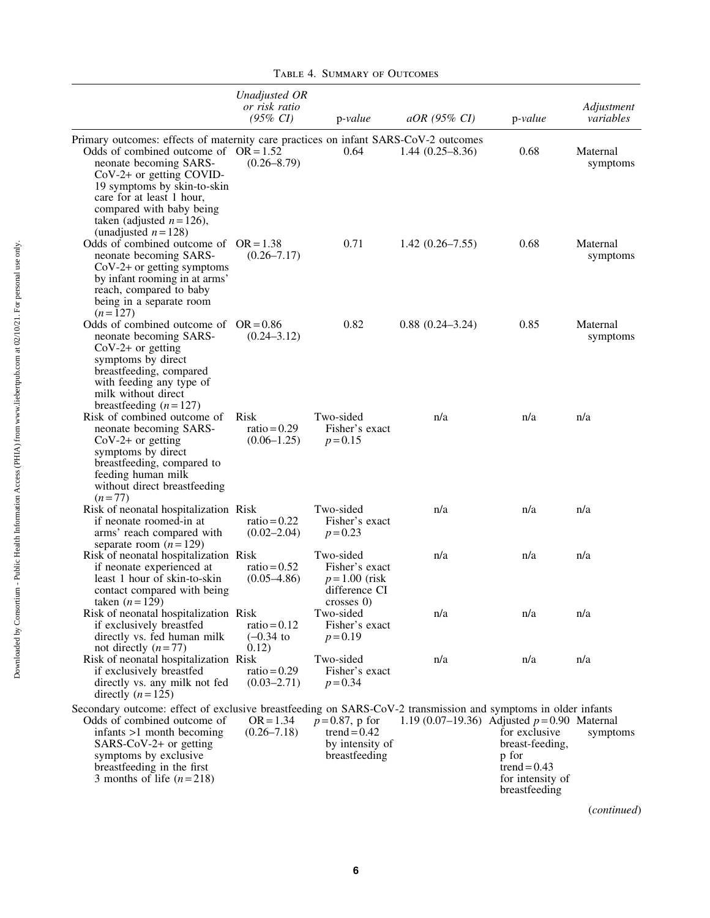|                                                                                                                                                                                                                                                                                                                | Unadjusted OR<br>or risk ratio<br>$(95\% \; CI)$ | p-value                                                                        | $aOR$ (95% CI)                               | $p-value$                                                                                        | Adjustment<br>variables          |
|----------------------------------------------------------------------------------------------------------------------------------------------------------------------------------------------------------------------------------------------------------------------------------------------------------------|--------------------------------------------------|--------------------------------------------------------------------------------|----------------------------------------------|--------------------------------------------------------------------------------------------------|----------------------------------|
| Primary outcomes: effects of maternity care practices on infant SARS-CoV-2 outcomes<br>Odds of combined outcome of $OR = 1.52$<br>neonate becoming SARS-<br>$CoV-2+$ or getting COVID-<br>19 symptoms by skin-to-skin<br>care for at least 1 hour,<br>compared with baby being<br>taken (adjusted $n = 126$ ), | $(0.26 - 8.79)$                                  | 0.64                                                                           | $1.44(0.25-8.36)$                            | 0.68                                                                                             | Maternal<br>symptoms             |
| (unadjusted $n = 128$ )<br>Odds of combined outcome of $OR = 1.38$<br>neonate becoming SARS-<br>$CoV-2+$ or getting symptoms<br>by infant rooming in at arms'<br>reach, compared to baby<br>being in a separate room<br>$(n=127)$                                                                              | $(0.26 - 7.17)$                                  | 0.71                                                                           | $1.42(0.26 - 7.55)$                          | 0.68                                                                                             | Maternal<br>symptoms             |
| Odds of combined outcome of $OR = 0.86$<br>neonate becoming SARS-<br>$CoV-2+$ or getting<br>symptoms by direct<br>breastfeeding, compared<br>with feeding any type of<br>milk without direct                                                                                                                   | $(0.24 - 3.12)$                                  | 0.82                                                                           | $0.88(0.24 - 3.24)$                          | 0.85                                                                                             | Maternal<br>symptoms             |
| breastfeeding $(n=127)$<br>Risk of combined outcome of<br>neonate becoming SARS-<br>$CoV-2+$ or getting<br>symptoms by direct<br>breastfeeding, compared to<br>feeding human milk<br>without direct breastfeeding<br>$(n=77)$                                                                                  | Risk<br>$ratio = 0.29$<br>$(0.06 - 1.25)$        | Two-sided<br>Fisher's exact<br>$p = 0.15$                                      | n/a                                          | n/a                                                                                              | n/a                              |
| Risk of neonatal hospitalization Risk<br>if neonate roomed-in at<br>arms' reach compared with<br>separate room $(n=129)$                                                                                                                                                                                       | ratio = $0.22$<br>$(0.02 - 2.04)$                | Two-sided<br>Fisher's exact<br>$p = 0.23$                                      | n/a                                          | n/a                                                                                              | n/a                              |
| Risk of neonatal hospitalization Risk<br>if neonate experienced at<br>least 1 hour of skin-to-skin<br>contact compared with being<br>taken $(n=129)$                                                                                                                                                           | ratio = $0.52$<br>$(0.05 - 4.86)$                | Two-sided<br>Fisher's exact<br>$p = 1.00$ (risk<br>difference CI<br>crosses 0) | n/a                                          | n/a                                                                                              | n/a                              |
| Risk of neonatal hospitalization Risk<br>if exclusively breastfed<br>directly vs. fed human milk<br>not directly $(n=77)$                                                                                                                                                                                      | ratio = $0.12$<br>$(-0.34)$ to<br>0.12)          | Two-sided<br>Fisher's exact<br>$p = 0.19$                                      | n/a                                          | n/a                                                                                              | n/a                              |
| Risk of neonatal hospitalization Risk<br>if exclusively breastfed<br>directly vs. any milk not fed<br>directly $(n=125)$                                                                                                                                                                                       | ratio = $0.29$<br>$(0.03 - 2.71)$                | Two-sided<br>Fisher's exact<br>$p = 0.34$                                      | n/a                                          | n/a                                                                                              | n/a                              |
| Secondary outcome: effect of exclusive breastfeeding on SARS-CoV-2 transmission and symptoms in older infants<br>Odds of combined outcome of<br>$in$ fants $>1$ month becoming<br>SARS-CoV-2+ or getting<br>symptoms by exclusive<br>breastfeeding in the first<br>3 months of life $(n=218)$                  | $OR = 1.34$<br>$(0.26 - 7.18)$                   | $p = 0.87$ , p for<br>trend = $0.42$<br>by intensity of<br>breastfeeding       | 1.19 (0.07–19.36) Adjusted $p=0.90$ Maternal | for exclusive<br>breast-feeding,<br>p for<br>trend = $0.43$<br>for intensity of<br>breastfeeding | symptoms<br>( <i>continued</i> ) |

Table 4. Summary of Outcomes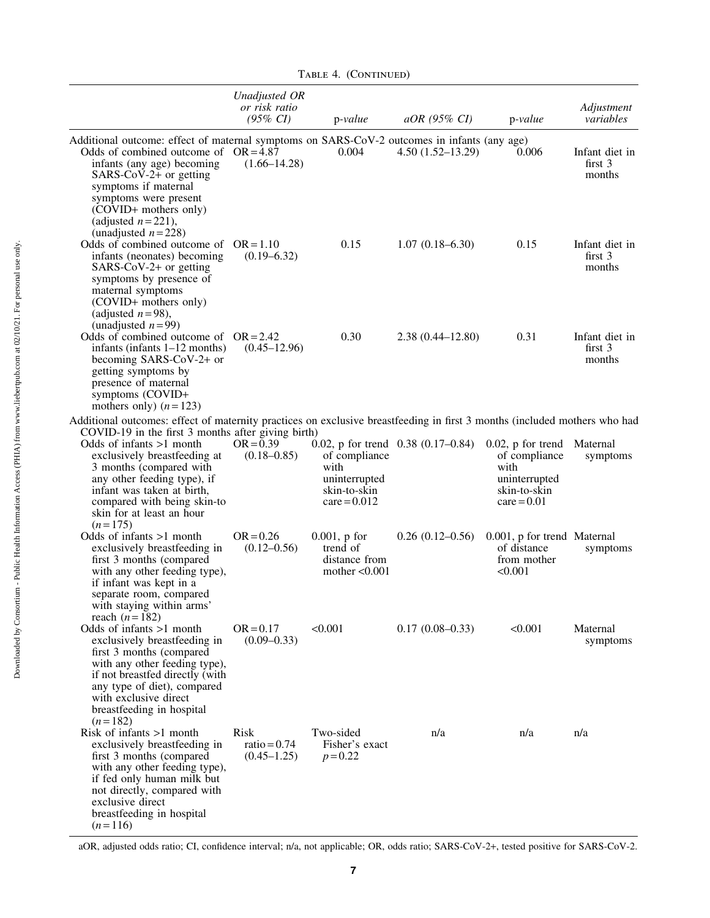|                                                                                                                                                                                                                                                                                                  | Unadjusted OR<br>or risk ratio<br>$(95\% \; CI)$ | $p-value$                                                                | $aOR$ (95% CI)                       | $p-value$                                                                                       | Adjustment<br>variables                        |
|--------------------------------------------------------------------------------------------------------------------------------------------------------------------------------------------------------------------------------------------------------------------------------------------------|--------------------------------------------------|--------------------------------------------------------------------------|--------------------------------------|-------------------------------------------------------------------------------------------------|------------------------------------------------|
| Additional outcome: effect of maternal symptoms on SARS-CoV-2 outcomes in infants (any age)<br>Odds of combined outcome of $OR = 4.87$<br>infants (any age) becoming<br>SARS-CoV-2+ or getting<br>symptoms if maternal<br>symptoms were present<br>(COVID+ mothers only)<br>(adjusted $n=221$ ), | $(1.66 - 14.28)$                                 | 0.004                                                                    | $4.50(1.52 - 13.29)$                 | 0.006                                                                                           | Infant diet in<br>first <sub>3</sub><br>months |
| (unadjusted $n = 228$ )<br>Odds of combined outcome of $OR = 1.10$<br>infants (neonates) becoming<br>$SARS-CoV-2+$ or getting<br>symptoms by presence of<br>maternal symptoms<br>(COVID+ mothers only)<br>(adjusted $n=98$ ),<br>(unadjusted $n=99$ )                                            | $(0.19 - 6.32)$                                  | 0.15                                                                     | $1.07(0.18 - 6.30)$                  | 0.15                                                                                            | Infant diet in<br>first $3$<br>months          |
| Odds of combined outcome of $OR = 2.42$<br>infants (infants $1-12$ months)<br>becoming SARS-CoV-2+ or<br>getting symptoms by<br>presence of maternal<br>symptoms (COVID+<br>mothers only) $(n=123)$                                                                                              | $(0.45 - 12.96)$                                 | 0.30                                                                     | $2.38(0.44 - 12.80)$                 | 0.31                                                                                            | Infant diet in<br>first <sub>3</sub><br>months |
| Additional outcomes: effect of maternity practices on exclusive breastfeeding in first 3 months (included mothers who had                                                                                                                                                                        |                                                  |                                                                          |                                      |                                                                                                 |                                                |
| COVID-19 in the first 3 months after giving birth)<br>Odds of infants $>1$ month<br>exclusively breastfeeding at<br>3 months (compared with<br>any other feeding type), if<br>infant was taken at birth,<br>compared with being skin-to<br>skin for at least an hour<br>$(n=175)$                | $OR = 0.39$<br>$(0.18 - 0.85)$                   | of compliance<br>with<br>uninterrupted<br>skin-to-skin<br>$care = 0.012$ | 0.02, p for trend $0.38$ (0.17–0.84) | $0.02$ , p for trend<br>of compliance<br>with<br>uninterrupted<br>skin-to-skin<br>$care = 0.01$ | Maternal<br>symptoms                           |
| Odds of infants >1 month<br>exclusively breastfeeding in<br>first 3 months (compared<br>with any other feeding type),<br>if infant was kept in a<br>separate room, compared<br>with staying within arms'<br>reach $(n=182)$                                                                      | $OR = 0.26$<br>$(0.12 - 0.56)$                   | $0.001$ , p for<br>trend of<br>distance from<br>mother $< 0.001$         | $0.26(0.12-0.56)$                    | 0.001, p for trend Maternal<br>of distance<br>from mother<br>< 0.001                            | symptoms                                       |
| Odds of infants $>1$ month<br>exclusively breastfeeding in<br>first 3 months (compared<br>with any other feeding type),<br>if not breastfed directly (with<br>any type of diet), compared<br>with exclusive direct<br>breastfeeding in hospital<br>$(n=182)$                                     | $OR = 0.17$<br>$(0.09 - 0.33)$                   | < 0.001                                                                  | $0.17(0.08 - 0.33)$                  | < 0.001                                                                                         | Maternal<br>symptoms                           |
| Risk of infants $>1$ month<br>exclusively breastfeeding in<br>first 3 months (compared<br>with any other feeding type),<br>if fed only human milk but<br>not directly, compared with<br>exclusive direct<br>breastfeeding in hospital<br>$(n=116)$                                               | Risk<br>ratio = $0.74$<br>$(0.45 - 1.25)$        | Two-sided<br>Fisher's exact<br>$p = 0.22$                                | n/a                                  | n/a                                                                                             | n/a                                            |

aOR, adjusted odds ratio; CI, confidence interval; n/a, not applicable; OR, odds ratio; SARS-CoV-2+, tested positive for SARS-CoV-2.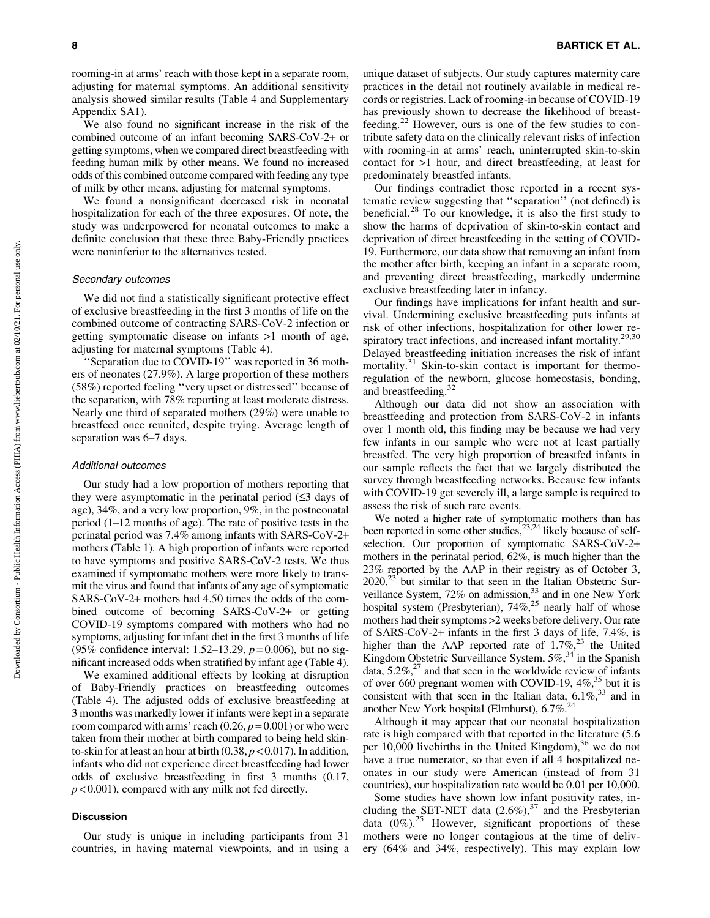rooming-in at arms' reach with those kept in a separate room, adjusting for maternal symptoms. An additional sensitivity analysis showed similar results (Table 4 and Supplementary Appendix SA1).

We also found no significant increase in the risk of the combined outcome of an infant becoming SARS-CoV-2+ or getting symptoms, when we compared direct breastfeeding with feeding human milk by other means. We found no increased odds of this combined outcome compared with feeding any type of milk by other means, adjusting for maternal symptoms.

We found a nonsignificant decreased risk in neonatal hospitalization for each of the three exposures. Of note, the study was underpowered for neonatal outcomes to make a definite conclusion that these three Baby-Friendly practices were noninferior to the alternatives tested.

## Secondary outcomes

We did not find a statistically significant protective effect of exclusive breastfeeding in the first 3 months of life on the combined outcome of contracting SARS-CoV-2 infection or getting symptomatic disease on infants >1 month of age, adjusting for maternal symptoms (Table 4).

'Separation due to COVID-19" was reported in 36 mothers of neonates (27.9%). A large proportion of these mothers (58%) reported feeling ''very upset or distressed'' because of the separation, with 78% reporting at least moderate distress. Nearly one third of separated mothers (29%) were unable to breastfeed once reunited, despite trying. Average length of separation was 6–7 days.

#### Additional outcomes

Our study had a low proportion of mothers reporting that they were asymptomatic in the perinatal period  $(\leq 3)$  days of age), 34%, and a very low proportion, 9%, in the postneonatal period (1–12 months of age). The rate of positive tests in the perinatal period was 7.4% among infants with SARS-CoV-2+ mothers (Table 1). A high proportion of infants were reported to have symptoms and positive SARS-CoV-2 tests. We thus examined if symptomatic mothers were more likely to transmit the virus and found that infants of any age of symptomatic SARS-CoV-2+ mothers had 4.50 times the odds of the combined outcome of becoming SARS-CoV-2+ or getting COVID-19 symptoms compared with mothers who had no symptoms, adjusting for infant diet in the first 3 months of life (95% confidence interval: 1.52–13.29, *p* = 0.006), but no significant increased odds when stratified by infant age (Table 4).

We examined additional effects by looking at disruption of Baby-Friendly practices on breastfeeding outcomes (Table 4). The adjusted odds of exclusive breastfeeding at 3 months was markedly lower if infants were kept in a separate room compared with arms' reach  $(0.26, p=0.001)$  or who were taken from their mother at birth compared to being held skinto-skin for at least an hour at birth  $(0.38, p < 0.017)$ . In addition, infants who did not experience direct breastfeeding had lower odds of exclusive breastfeeding in first 3 months (0.17, *p* < 0.001), compared with any milk not fed directly.

## Discussion

Our study is unique in including participants from 31 countries, in having maternal viewpoints, and in using a unique dataset of subjects. Our study captures maternity care practices in the detail not routinely available in medical records or registries. Lack of rooming-in because of COVID-19 has previously shown to decrease the likelihood of breastfeeding.<sup>22</sup> However, ours is one of the few studies to contribute safety data on the clinically relevant risks of infection with rooming-in at arms' reach, uninterrupted skin-to-skin contact for >1 hour, and direct breastfeeding, at least for predominately breastfed infants.

Our findings contradict those reported in a recent systematic review suggesting that ''separation'' (not defined) is beneficial.<sup>28</sup> To our knowledge, it is also the first study to show the harms of deprivation of skin-to-skin contact and deprivation of direct breastfeeding in the setting of COVID-19. Furthermore, our data show that removing an infant from the mother after birth, keeping an infant in a separate room, and preventing direct breastfeeding, markedly undermine exclusive breastfeeding later in infancy.

Our findings have implications for infant health and survival. Undermining exclusive breastfeeding puts infants at risk of other infections, hospitalization for other lower respiratory tract infections, and increased infant mortality.<sup>29,30</sup> Delayed breastfeeding initiation increases the risk of infant mortality.<sup>31</sup> Skin-to-skin contact is important for thermoregulation of the newborn, glucose homeostasis, bonding, and breastfeeding.<sup>32</sup>

Although our data did not show an association with breastfeeding and protection from SARS-CoV-2 in infants over 1 month old, this finding may be because we had very few infants in our sample who were not at least partially breastfed. The very high proportion of breastfed infants in our sample reflects the fact that we largely distributed the survey through breastfeeding networks. Because few infants with COVID-19 get severely ill, a large sample is required to assess the risk of such rare events.

We noted a higher rate of symptomatic mothers than has been reported in some other studies,<sup>23,24</sup> likely because of selfselection. Our proportion of symptomatic SARS-CoV-2+ mothers in the perinatal period, 62%, is much higher than the 23% reported by the AAP in their registry as of October 3,  $2020$ ,<sup>23</sup> but similar to that seen in the Italian Obstetric Surveillance System,  $72\%$  on admission, $33$  and in one New York hospital system (Presbyterian),  $74\%$ ,<sup>25</sup> nearly half of whose mothers had their symptoms >2 weeks before delivery. Our rate of SARS-CoV-2+ infants in the first 3 days of life, 7.4%, is higher than the AAP reported rate of  $1.7\%$ ,<sup>23</sup> the United Kingdom Obstetric Surveillance System, 5%,34 in the Spanish data,  $5.2\%$ ,  $27$  and that seen in the worldwide review of infants of over 660 pregnant women with COVID-19,  $4\%$ ,<sup>35</sup> but it is consistent with that seen in the Italian data,  $6.1\%$ <sup>33</sup> and in another New York hospital (Elmhurst),  $6.7\%^{24}$ 

Although it may appear that our neonatal hospitalization rate is high compared with that reported in the literature (5.6 per  $10,000$  livebirths in the United Kingdom),  $36$  we do not have a true numerator, so that even if all 4 hospitalized neonates in our study were American (instead of from 31 countries), our hospitalization rate would be 0.01 per 10,000.

Some studies have shown low infant positivity rates, including the SET-NET data  $(2.6\%)$ ,<sup>37</sup> and the Presbyterian data  $(0\%)$ .<sup>25</sup> However, significant proportions of these mothers were no longer contagious at the time of delivery (64% and 34%, respectively). This may explain low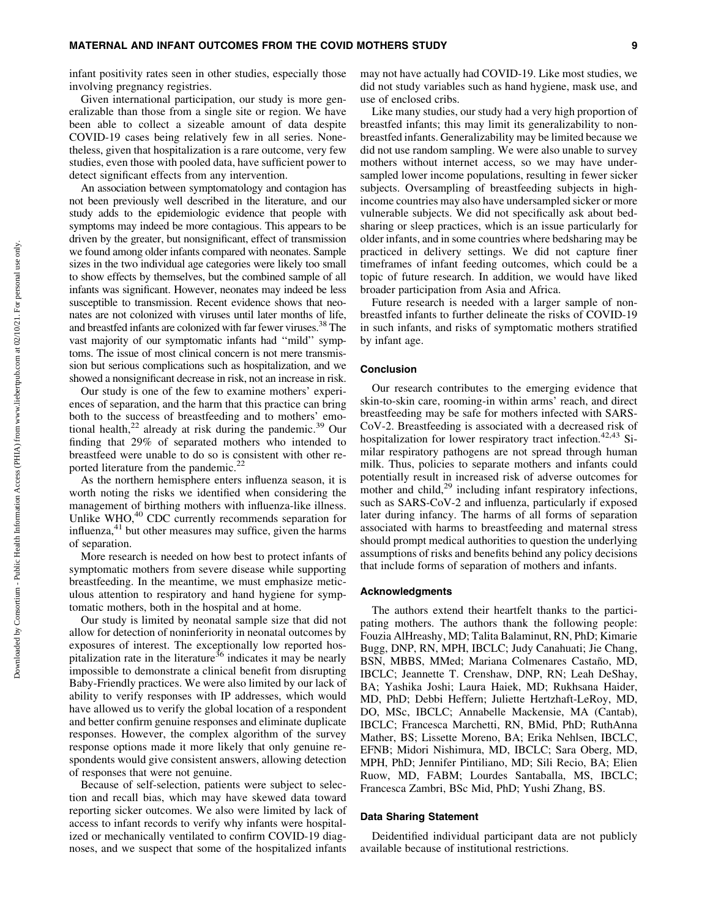infant positivity rates seen in other studies, especially those involving pregnancy registries.

Given international participation, our study is more generalizable than those from a single site or region. We have been able to collect a sizeable amount of data despite COVID-19 cases being relatively few in all series. Nonetheless, given that hospitalization is a rare outcome, very few studies, even those with pooled data, have sufficient power to detect significant effects from any intervention.

An association between symptomatology and contagion has not been previously well described in the literature, and our study adds to the epidemiologic evidence that people with symptoms may indeed be more contagious. This appears to be driven by the greater, but nonsignificant, effect of transmission we found among older infants compared with neonates. Sample sizes in the two individual age categories were likely too small to show effects by themselves, but the combined sample of all infants was significant. However, neonates may indeed be less susceptible to transmission. Recent evidence shows that neonates are not colonized with viruses until later months of life, and breastfed infants are colonized with far fewer viruses.<sup>38</sup> The vast majority of our symptomatic infants had ''mild'' symptoms. The issue of most clinical concern is not mere transmission but serious complications such as hospitalization, and we showed a nonsignificant decrease in risk, not an increase in risk.

Our study is one of the few to examine mothers' experiences of separation, and the harm that this practice can bring both to the success of breastfeeding and to mothers' emotional health, $^{22}$  already at risk during the pandemic.<sup>39</sup> Our finding that 29% of separated mothers who intended to breastfeed were unable to do so is consistent with other reported literature from the pandemic.<sup>22</sup>

As the northern hemisphere enters influenza season, it is worth noting the risks we identified when considering the management of birthing mothers with influenza-like illness. Unlike WHO,<sup>40</sup> CDC currently recommends separation for influenza, $41$  but other measures may suffice, given the harms of separation.

More research is needed on how best to protect infants of symptomatic mothers from severe disease while supporting breastfeeding. In the meantime, we must emphasize meticulous attention to respiratory and hand hygiene for symptomatic mothers, both in the hospital and at home.

Our study is limited by neonatal sample size that did not allow for detection of noninferiority in neonatal outcomes by exposures of interest. The exceptionally low reported hospitalization rate in the literature<sup>36</sup> indicates it may be nearly impossible to demonstrate a clinical benefit from disrupting Baby-Friendly practices. We were also limited by our lack of ability to verify responses with IP addresses, which would have allowed us to verify the global location of a respondent and better confirm genuine responses and eliminate duplicate responses. However, the complex algorithm of the survey response options made it more likely that only genuine respondents would give consistent answers, allowing detection of responses that were not genuine.

Because of self-selection, patients were subject to selection and recall bias, which may have skewed data toward reporting sicker outcomes. We also were limited by lack of access to infant records to verify why infants were hospitalized or mechanically ventilated to confirm COVID-19 diagnoses, and we suspect that some of the hospitalized infants may not have actually had COVID-19. Like most studies, we did not study variables such as hand hygiene, mask use, and use of enclosed cribs.

Like many studies, our study had a very high proportion of breastfed infants; this may limit its generalizability to nonbreastfed infants. Generalizability may be limited because we did not use random sampling. We were also unable to survey mothers without internet access, so we may have undersampled lower income populations, resulting in fewer sicker subjects. Oversampling of breastfeeding subjects in highincome countries may also have undersampled sicker or more vulnerable subjects. We did not specifically ask about bedsharing or sleep practices, which is an issue particularly for older infants, and in some countries where bedsharing may be practiced in delivery settings. We did not capture finer timeframes of infant feeding outcomes, which could be a topic of future research. In addition, we would have liked broader participation from Asia and Africa.

Future research is needed with a larger sample of nonbreastfed infants to further delineate the risks of COVID-19 in such infants, and risks of symptomatic mothers stratified by infant age.

#### Conclusion

Our research contributes to the emerging evidence that skin-to-skin care, rooming-in within arms' reach, and direct breastfeeding may be safe for mothers infected with SARS-CoV-2. Breastfeeding is associated with a decreased risk of hospitalization for lower respiratory tract infection.<sup>42,43</sup> Similar respiratory pathogens are not spread through human milk. Thus, policies to separate mothers and infants could potentially result in increased risk of adverse outcomes for mother and child,<sup>29</sup> including infant respiratory infections, such as SARS-CoV-2 and influenza, particularly if exposed later during infancy. The harms of all forms of separation associated with harms to breastfeeding and maternal stress should prompt medical authorities to question the underlying assumptions of risks and benefits behind any policy decisions that include forms of separation of mothers and infants.

## Acknowledgments

The authors extend their heartfelt thanks to the participating mothers. The authors thank the following people: Fouzia AlHreashy, MD; Talita Balaminut, RN, PhD; Kimarie Bugg, DNP, RN, MPH, IBCLC; Judy Canahuati; Jie Chang, BSN, MBBS, MMed; Mariana Colmenares Castaño, MD, IBCLC; Jeannette T. Crenshaw, DNP, RN; Leah DeShay, BA; Yashika Joshi; Laura Haiek, MD; Rukhsana Haider, MD, PhD; Debbi Heffern; Juliette Hertzhaft-LeRoy, MD, DO, MSc, IBCLC; Annabelle Mackensie, MA (Cantab), IBCLC; Francesca Marchetti, RN, BMid, PhD; RuthAnna Mather, BS; Lissette Moreno, BA; Erika Nehlsen, IBCLC, EFNB; Midori Nishimura, MD, IBCLC; Sara Oberg, MD, MPH, PhD; Jennifer Pintiliano, MD; Sili Recio, BA; Elien Ruow, MD, FABM; Lourdes Santaballa, MS, IBCLC; Francesca Zambri, BSc Mid, PhD; Yushi Zhang, BS.

## Data Sharing Statement

Deidentified individual participant data are not publicly available because of institutional restrictions.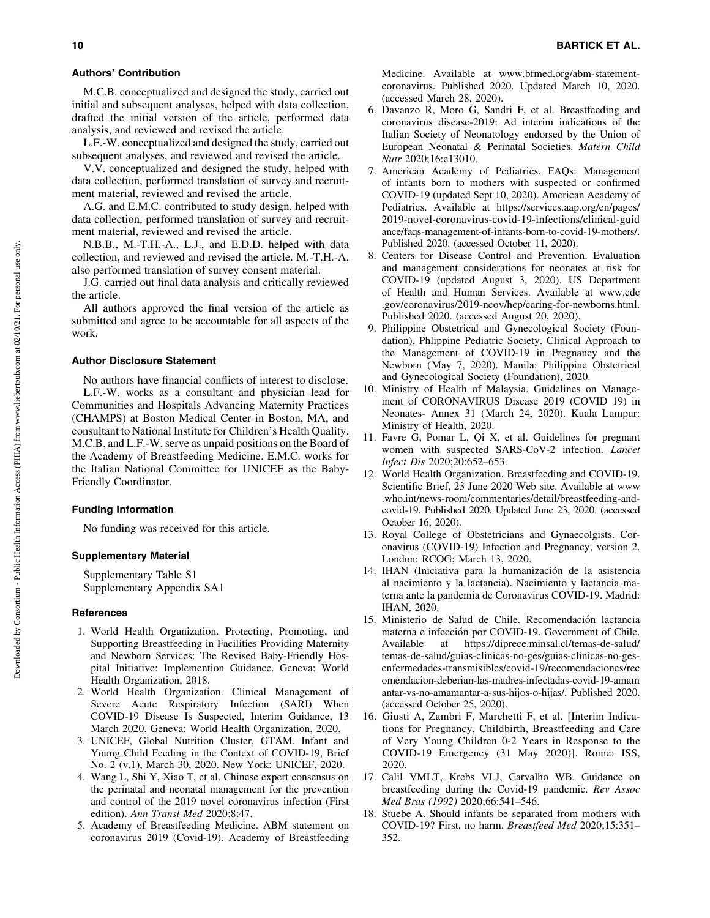#### Authors' Contribution

M.C.B. conceptualized and designed the study, carried out initial and subsequent analyses, helped with data collection, drafted the initial version of the article, performed data analysis, and reviewed and revised the article.

L.F.-W. conceptualized and designed the study, carried out subsequent analyses, and reviewed and revised the article.

V.V. conceptualized and designed the study, helped with data collection, performed translation of survey and recruitment material, reviewed and revised the article.

A.G. and E.M.C. contributed to study design, helped with data collection, performed translation of survey and recruitment material, reviewed and revised the article.

N.B.B., M.-T.H.-A., L.J., and E.D.D. helped with data collection, and reviewed and revised the article. M.-T.H.-A. also performed translation of survey consent material.

J.G. carried out final data analysis and critically reviewed the article.

All authors approved the final version of the article as submitted and agree to be accountable for all aspects of the work.

## Author Disclosure Statement

No authors have financial conflicts of interest to disclose. L.F.-W. works as a consultant and physician lead for Communities and Hospitals Advancing Maternity Practices (CHAMPS) at Boston Medical Center in Boston, MA, and consultant to National Institute for Children's Health Quality. M.C.B. and L.F.-W. serve as unpaid positions on the Board of the Academy of Breastfeeding Medicine. E.M.C. works for the Italian National Committee for UNICEF as the Baby-Friendly Coordinator.

# Funding Information

No funding was received for this article.

## Supplementary Material

Supplementary Table S1 Supplementary Appendix SA1

# **References**

- 1. World Health Organization. Protecting, Promoting, and Supporting Breastfeeding in Facilities Providing Maternity and Newborn Services: The Revised Baby-Friendly Hospital Initiative: Implemention Guidance. Geneva: World Health Organization, 2018.
- 2. World Health Organization. Clinical Management of Severe Acute Respiratory Infection (SARI) When COVID-19 Disease Is Suspected, Interim Guidance, 13 March 2020. Geneva: World Health Organization, 2020.
- 3. UNICEF, Global Nutrition Cluster, GTAM. Infant and Young Child Feeding in the Context of COVID-19, Brief No. 2 (v.1), March 30, 2020. New York: UNICEF, 2020.
- 4. Wang L, Shi Y, Xiao T, et al. Chinese expert consensus on the perinatal and neonatal management for the prevention and control of the 2019 novel coronavirus infection (First edition). *Ann Transl Med* 2020;8:47.
- 5. Academy of Breastfeeding Medicine. ABM statement on coronavirus 2019 (Covid-19). Academy of Breastfeeding

Medicine. Available at [www.bfmed.org/abm-statement](http://www.bfmed.org/abm-statement-coronavirus)[coronavirus](http://www.bfmed.org/abm-statement-coronavirus). Published 2020. Updated March 10, 2020. (accessed March 28, 2020).

- 6. Davanzo R, Moro G, Sandri F, et al. Breastfeeding and coronavirus disease-2019: Ad interim indications of the Italian Society of Neonatology endorsed by the Union of European Neonatal & Perinatal Societies. *Matern Child Nutr* 2020;16:e13010.
- 7. American Academy of Pediatrics. FAQs: Management of infants born to mothers with suspected or confirmed COVID-19 (updated Sept 10, 2020). American Academy of Pediatrics. Available at [https://services.aap.org/en/pages/](https://services.aap.org/en/pages/2019-novel-coronavirus-covid-19-infections/clinical-guidance/faqs-management-of-infants-born-to-covid-19-mothers/) [2019-novel-coronavirus-covid-19-infections/clinical-guid](https://services.aap.org/en/pages/2019-novel-coronavirus-covid-19-infections/clinical-guidance/faqs-management-of-infants-born-to-covid-19-mothers/) [ance/faqs-management-of-infants-born-to-covid-19-mothers/.](https://services.aap.org/en/pages/2019-novel-coronavirus-covid-19-infections/clinical-guidance/faqs-management-of-infants-born-to-covid-19-mothers/) Published 2020. (accessed October 11, 2020).
- 8. Centers for Disease Control and Prevention. Evaluation and management considerations for neonates at risk for COVID-19 (updated August 3, 2020). US Department of Health and Human Services. Available at [www.cdc](http://www.cdc.gov/coronavirus/2019-ncov/hcp/caring-for-newborns.html) [.gov/coronavirus/2019-ncov/hcp/caring-for-newborns.html.](http://www.cdc.gov/coronavirus/2019-ncov/hcp/caring-for-newborns.html) Published 2020. (accessed August 20, 2020).
- 9. Philippine Obstetrical and Gynecological Society (Foundation), Phlippine Pediatric Society. Clinical Approach to the Management of COVID-19 in Pregnancy and the Newborn (May 7, 2020). Manila: Philippine Obstetrical and Gynecological Society (Foundation), 2020.
- 10. Ministry of Health of Malaysia. Guidelines on Management of CORONAVIRUS Disease 2019 (COVID 19) in Neonates- Annex 31 (March 24, 2020). Kuala Lumpur: Ministry of Health, 2020.
- 11. Favre G, Pomar L, Qi X, et al. Guidelines for pregnant women with suspected SARS-CoV-2 infection. *Lancet Infect Dis* 2020;20:652–653.
- 12. World Health Organization. Breastfeeding and COVID-19. Scientific Brief, 23 June 2020 Web site. Available at [www](http://www.who.int/news-room/commentaries/detail/breastfeeding-and-covid-19) [.who.int/news-room/commentaries/detail/breastfeeding-and](http://www.who.int/news-room/commentaries/detail/breastfeeding-and-covid-19)[covid-19.](http://www.who.int/news-room/commentaries/detail/breastfeeding-and-covid-19) Published 2020. Updated June 23, 2020. (accessed October 16, 2020).
- 13. Royal College of Obstetricians and Gynaecolgists. Coronavirus (COVID-19) Infection and Pregnancy, version 2. London: RCOG; March 13, 2020.
- 14. IHAN (Iniciativa para la humanización de la asistencia al nacimiento y la lactancia). Nacimiento y lactancia materna ante la pandemia de Coronavirus COVID-19. Madrid: IHAN, 2020.
- 15. Ministerio de Salud de Chile. Recomendación lactancia materna e infección por COVID-19. Government of Chile. Available at [https://diprece.minsal.cl/temas-de-salud/](https://diprece.minsal.cl/temas-de-salud/temas-de-salud/guias-clinicas-no-ges/guias-clinicas-no-ges-enfermedades-transmisibles/covid-19/recomendaciones/recomendacion-deberian-las-madres-infectadas-covid-19-amamantar-vs-no-amamantar-a-sus-hijos-o-hijas/) [temas-de-salud/guias-clinicas-no-ges/guias-clinicas-no-ges](https://diprece.minsal.cl/temas-de-salud/temas-de-salud/guias-clinicas-no-ges/guias-clinicas-no-ges-enfermedades-transmisibles/covid-19/recomendaciones/recomendacion-deberian-las-madres-infectadas-covid-19-amamantar-vs-no-amamantar-a-sus-hijos-o-hijas/)[enfermedades-transmisibles/covid-19/recomendaciones/rec](https://diprece.minsal.cl/temas-de-salud/temas-de-salud/guias-clinicas-no-ges/guias-clinicas-no-ges-enfermedades-transmisibles/covid-19/recomendaciones/recomendacion-deberian-las-madres-infectadas-covid-19-amamantar-vs-no-amamantar-a-sus-hijos-o-hijas/) [omendacion-deberian-las-madres-infectadas-covid-19-amam](https://diprece.minsal.cl/temas-de-salud/temas-de-salud/guias-clinicas-no-ges/guias-clinicas-no-ges-enfermedades-transmisibles/covid-19/recomendaciones/recomendacion-deberian-las-madres-infectadas-covid-19-amamantar-vs-no-amamantar-a-sus-hijos-o-hijas/) [antar-vs-no-amamantar-a-sus-hijos-o-hijas/.](https://diprece.minsal.cl/temas-de-salud/temas-de-salud/guias-clinicas-no-ges/guias-clinicas-no-ges-enfermedades-transmisibles/covid-19/recomendaciones/recomendacion-deberian-las-madres-infectadas-covid-19-amamantar-vs-no-amamantar-a-sus-hijos-o-hijas/) Published 2020. (accessed October 25, 2020).
- 16. Giusti A, Zambri F, Marchetti F, et al. [Interim Indications for Pregnancy, Childbirth, Breastfeeding and Care of Very Young Children 0-2 Years in Response to the COVID-19 Emergency (31 May 2020)]. Rome: ISS, 2020.
- 17. Calil VMLT, Krebs VLJ, Carvalho WB. Guidance on breastfeeding during the Covid-19 pandemic. *Rev Assoc Med Bras (1992)* 2020;66:541–546.
- 18. Stuebe A. Should infants be separated from mothers with COVID-19? First, no harm. *Breastfeed Med* 2020;15:351– 352.